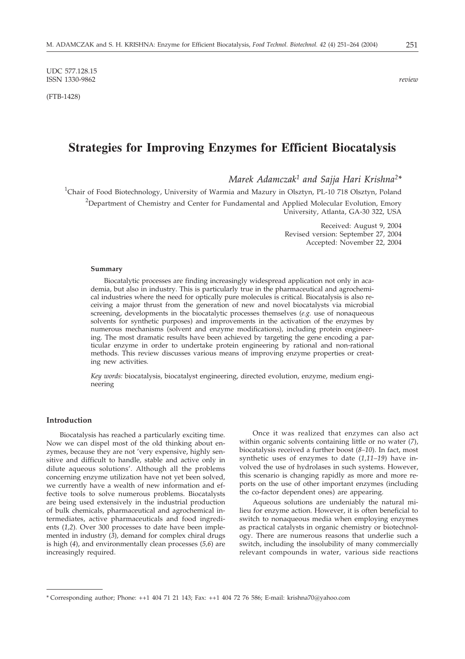UDC 577.128.15 ISSN 1330-9862 *review*

(FTB-1428)

# **Strategies for Improving Enzymes for Efficient Biocatalysis**

*Marek Adamczak1 and Sajja Hari Krishna2\**

<sup>1</sup>Chair of Food Biotechnology, University of Warmia and Mazury in Olsztyn, PL-10 718 Olsztyn, Poland

<sup>2</sup>Department of Chemistry and Center for Fundamental and Applied Molecular Evolution, Emory University, Atlanta, GA-30 322, USA

> Received: August 9, 2004 Revised version: September 27, 2004 Accepted: November 22, 2004

#### **Summary**

Biocatalytic processes are finding increasingly widespread application not only in academia, but also in industry. This is particularly true in the pharmaceutical and agrochemical industries where the need for optically pure molecules is critical. Biocatalysis is also receiving a major thrust from the generation of new and novel biocatalysts via microbial screening, developments in the biocatalytic processes themselves (*e.g.* use of nonaqueous solvents for synthetic purposes) and improvements in the activation of the enzymes by numerous mechanisms (solvent and enzyme modifications), including protein engineering. The most dramatic results have been achieved by targeting the gene encoding a particular enzyme in order to undertake protein engineering by rational and non-rational methods. This review discusses various means of improving enzyme properties or creating new activities.

*Key words:* biocatalysis, biocatalyst engineering, directed evolution, enzyme, medium engineering

# **Introduction**

Biocatalysis has reached a particularly exciting time. Now we can dispel most of the old thinking about enzymes, because they are not 'very expensive, highly sensitive and difficult to handle, stable and active only in dilute aqueous solutions'. Although all the problems concerning enzyme utilization have not yet been solved, we currently have a wealth of new information and effective tools to solve numerous problems. Biocatalysts are being used extensively in the industrial production of bulk chemicals, pharmaceutical and agrochemical intermediates, active pharmaceuticals and food ingredients (*1,2*). Over 300 processes to date have been implemented in industry (*3*), demand for complex chiral drugs is high (*4*), and environmentally clean processes (*5,6*) are increasingly required.

Once it was realized that enzymes can also act within organic solvents containing little or no water (*7*), biocatalysis received a further boost (*8–10*). In fact, most synthetic uses of enzymes to date (*1,11–19*) have involved the use of hydrolases in such systems. However, this scenario is changing rapidly as more and more reports on the use of other important enzymes (including the co-factor dependent ones) are appearing.

Aqueous solutions are undeniably the natural milieu for enzyme action. However, it is often beneficial to switch to nonaqueous media when employing enzymes as practical catalysts in organic chemistry or biotechnology. There are numerous reasons that underlie such a switch, including the insolubility of many commercially relevant compounds in water, various side reactions

<sup>\*</sup> Corresponding author; Phone: ++1 404 71 21 143; Fax: ++1 404 72 76 586; E-mail: krishna70@yahoo.com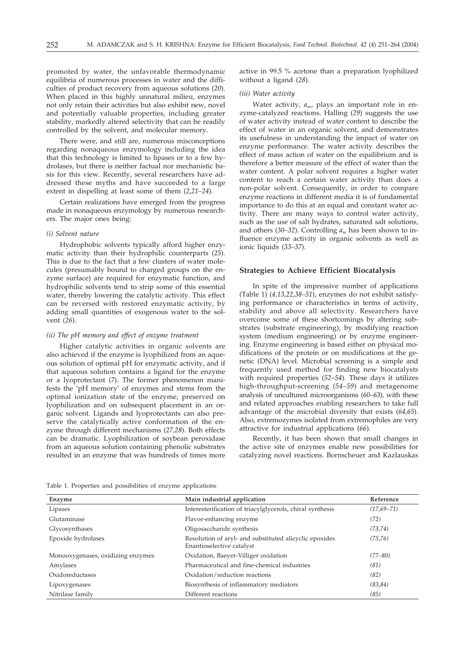promoted by water, the unfavorable thermodynamic equilibria of numerous processes in water and the difficulties of product recovery from aqueous solutions (*20*). When placed in this highly unnatural milieu, enzymes not only retain their activities but also exhibit new, novel and potentially valuable properties, including greater stability, markedly altered selectivity that can be readily controlled by the solvent, and molecular memory.

There were, and still are, numerous misconceptions regarding nonaqueous enzymology including the idea that this technology is limited to lipases or to a few hydrolases, but there is neither factual nor mechanistic basis for this view. Recently, several researchers have addressed these myths and have succeeded to a large extent in dispelling at least some of them (*2,21–24*).

Certain realizations have emerged from the progress made in nonaqueous enzymology by numerous researchers. The major ones being:

#### *(i) Solvent nature*

Hydrophobic solvents typically afford higher enzymatic activity than their hydrophilic counterparts (*25*). This is due to the fact that a few clusters of water molecules (presumably bound to charged groups on the enzyme surface) are required for enzymatic function, and hydrophilic solvents tend to strip some of this essential water, thereby lowering the catalytic activity. This effect can be reversed with restored enzymatic activity, by adding small quantities of exogenous water to the solvent (*26*).

#### *(ii) The pH memory and effect of enzyme treatment*

Higher catalytic activities in organic solvents are also achieved if the enzyme is lyophilized from an aqueous solution of optimal pH for enzymatic activity, and if that aqueous solution contains a ligand for the enzyme or a lyoprotectant (*7*). The former phenomenon manifests the 'pH memory' of enzymes and stems from the optimal ionization state of the enzyme, preserved on lyophilization and on subsequent placement in an organic solvent. Ligands and lyoprotectants can also preserve the catalytically active conformation of the enzyme through different mechanisms (*27,28*). Both effects can be dramatic. Lyophilization of soybean peroxidase from an aqueous solution containing phenolic substrates resulted in an enzyme that was hundreds of times more active in 99.5 % acetone than a preparation lyophilized without a ligand (*28*).

# *(iii) Water activity*

Water activity,  $a_{\rm w}$ , plays an important role in enzyme-catalyzed reactions. Halling (*29*) suggests the use of water activity instead of water content to describe the effect of water in an organic solvent, and demonstrates its usefulness in understanding the impact of water on enzyme performance. The water activity describes the effect of mass action of water on the equilibrium and is therefore a better measure of the effect of water than the water content. A polar solvent requires a higher water content to reach a certain water activity than does a non-polar solvent. Consequently, in order to compare enzyme reactions in different media it is of fundamental importance to do this at an equal and constant water activity. There are many ways to control water activity, such as the use of salt hydrates, saturated salt solutions, and others (30–32). Controlling  $a_w$  has been shown to influence enzyme activity in organic solvents as well as ionic liquids (*33–37*).

#### **Strategies to Achieve Efficient Biocatalysis**

In spite of the impressive number of applications (Table 1) (*4,13,22,38–51*), enzymes do not exhibit satisfying performance or characteristics in terms of activity, stability and above all selectivity. Researchers have overcome some of these shortcomings by altering substrates (substrate engineering), by modifying reaction system (medium engineering) or by enzyme engineering. Enzyme engineering is based either on physical modifications of the protein or on modifications at the genetic (DNA) level. Microbial screening is a simple and frequently used method for finding new biocatalysts with required properties (*52–54*). These days it utilizes high-throughput-screening (*54–59*) and metagenome analysis of uncultured microorganisms (*60–63*), with these and related approaches enabling researchers to take full advantage of the microbial diversity that exists (*64,65*). Also, extremozymes isolated from extremophiles are very attractive for industrial applications (*66*).

Recently, it has been shown that small changes in the active site of enzymes enable new possibilities for catalyzing novel reactions. Bornscheuer and Kazlauskas

Table 1. Properties and possibilities of enzyme applications

| Enzyme                            | Main industrial application                                                         | Reference      |
|-----------------------------------|-------------------------------------------------------------------------------------|----------------|
| Lipases                           | Interesterification of triacylglycerols, chiral synthesis                           | $(17,69 - 71)$ |
| Glutaminase                       | Flavor-enhancing enzyme                                                             | (72)           |
| Glycosynthases                    | Oligosaccharide synthesis                                                           | (73, 74)       |
| Epoxide hydrolases                | Resolution of aryl- and substituted alicyclic epoxides<br>Enantioselective catalyst | (75, 76)       |
| Monooxygenases, oxidizing enzymes | Oxidation, Baeyer-Villiger oxidation                                                | $(77 - 80)$    |
| Amylases                          | Pharmaceutical and fine-chemical industries                                         | (81)           |
| Oxidoreductases                   | Oxidation/reduction reactions                                                       | (82)           |
| Lipoxygenases                     | Biosynthesis of inflammatory mediators                                              | (83, 84)       |
| Nitrilase family                  | Different reactions                                                                 | (85)           |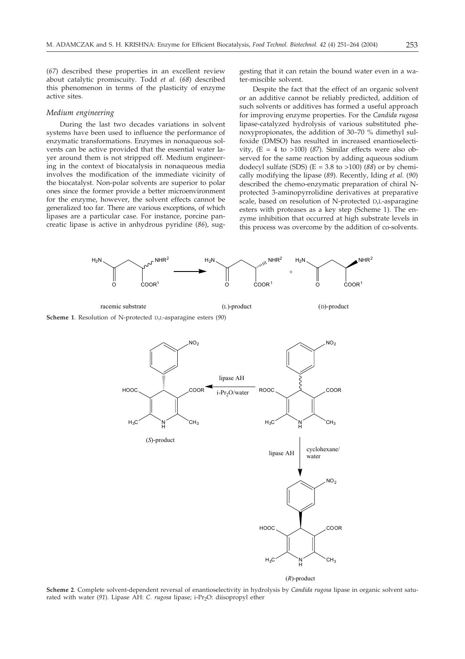(*67*) described these properties in an excellent review about catalytic promiscuity. Todd *et al.* (*68*) described this phenomenon in terms of the plasticity of enzyme active sites.

#### *Medium engineering*

During the last two decades variations in solvent systems have been used to influence the performance of enzymatic transformations. Enzymes in nonaqueous solvents can be active provided that the essential water layer around them is not stripped off. Medium engineering in the context of biocatalysis in nonaqueous media involves the modification of the immediate vicinity of the biocatalyst. Non-polar solvents are superior to polar ones since the former provide a better microenvironment for the enzyme, however, the solvent effects cannot be generalized too far. There are various exceptions, of which lipases are a particular case. For instance, porcine pancreatic lipase is active in anhydrous pyridine (*86*), suggesting that it can retain the bound water even in a water-miscible solvent.

Despite the fact that the effect of an organic solvent or an additive cannot be reliably predicted, addition of such solvents or additives has formed a useful approach for improving enzyme properties. For the *Candida rugosa* lipase-catalyzed hydrolysis of various substituted phenoxypropionates, the addition of 30–70 % dimethyl sulfoxide (DMSO) has resulted in increased enantioselectivity,  $(E = 4$  to >100) (87). Similar effects were also observed for the same reaction by adding aqueous sodium dodecyl sulfate (SDS) (E = 3.8 to >100) (*88*) or by chemically modifying the lipase (*89*). Recently, Iding *et al.* (*90*) described the chemo-enzymatic preparation of chiral Nprotected 3-aminopyrrolidine derivatives at preparative scale, based on resolution of N-protected D,L-asparagine esters with proteases as a key step (Scheme 1). The enzyme inhibition that occurred at high substrate levels in this process was overcome by the addition of co-solvents.



 $(R)$ -product

**Scheme 2**. Complete solvent-dependent reversal of enantioselectivity in hydrolysis by *Candida rugosa* lipase in organic solvent saturated with water (91). Lipase AH: *C. rugosa* lipase; i-Pr<sub>2</sub>O: diisopropyl ether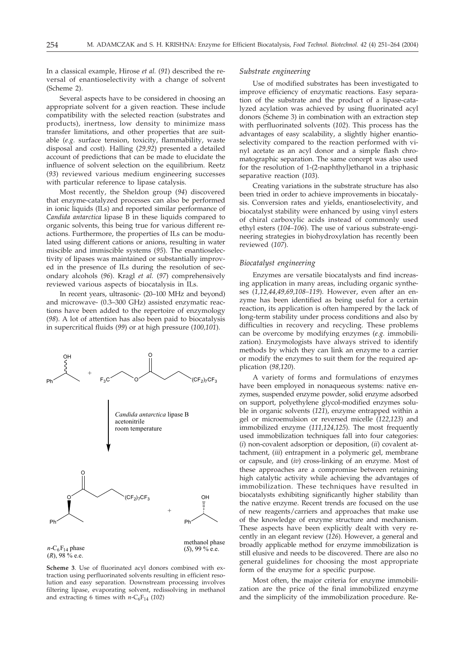In a classical example, Hirose *et al.* (*91*) described the reversal of enantioselectivity with a change of solvent (Scheme 2).

Several aspects have to be considered in choosing an appropriate solvent for a given reaction. These include compatibility with the selected reaction (substrates and products), inertness, low density to minimize mass transfer limitations, and other properties that are suitable (*e.g.* surface tension, toxicity, flammability, waste disposal and cost). Halling (*29,92*) presented a detailed account of predictions that can be made to elucidate the influence of solvent selection on the equilibrium. Reetz (*93*) reviewed various medium engineering successes with particular reference to lipase catalysis.

Most recently, the Sheldon group (*94*) discovered that enzyme-catalyzed processes can also be performed in ionic liquids (ILs) and reported similar performance of *Candida antarctica* lipase B in these liquids compared to organic solvents, this being true for various different reactions. Furthermore, the properties of ILs can be modulated using different cations or anions, resulting in water miscible and immiscible systems (*95*). The enantioselectivity of lipases was maintained or substantially improved in the presence of ILs during the resolution of secondary alcohols (*96*). Kragl *et al.* (*97*) comprehensively reviewed various aspects of biocatalysis in ILs.

In recent years, ultrasonic- (20–100 MHz and beyond) and microwave- (0.3–300 GHz) assisted enzymatic reactions have been added to the repertoire of enzymology (*98*). A lot of attention has also been paid to biocatalysis in supercritical fluids (*99*) or at high pressure (*100,101*).



**Scheme 3**. Use of fluorinated acyl donors combined with extraction using perfluorinated solvents resulting in efficient resolution and easy separation. Downstream processing involves filtering lipase, evaporating solvent, redissolving in methanol and extracting 6 times with  $n-C_6F_{14}$  (102)

#### *Substrate engineering*

Use of modified substrates has been investigated to improve efficiency of enzymatic reactions. Easy separation of the substrate and the product of a lipase-catalyzed acylation was achieved by using fluorinated acyl donors (Scheme 3) in combination with an extraction step with perfluorinated solvents (*102*). This process has the advantages of easy scalability, a slightly higher enantioselectivity compared to the reaction performed with vinyl acetate as an acyl donor and a simple flash chromatographic separation. The same concept was also used for the resolution of 1-(2-naphthyl)ethanol in a triphasic separative reaction (*103*).

Creating variations in the substrate structure has also been tried in order to achieve improvements in biocatalysis. Conversion rates and yields, enantioselectivity, and biocatalyst stability were enhanced by using vinyl esters of chiral carboxylic acids instead of commonly used ethyl esters (*104–106*). The use of various substrate-engineering strategies in biohydroxylation has recently been reviewed (*107*).

#### *Biocatalyst engineering*

Enzymes are versatile biocatalysts and find increasing application in many areas, including organic syntheses (*1,12,44,49,69,108–119*). However, even after an enzyme has been identified as being useful for a certain reaction, its application is often hampered by the lack of long-term stability under process conditions and also by difficulties in recovery and recycling. These problems can be overcome by modifying enzymes (*e.g.* immobilization). Enzymologists have always strived to identify methods by which they can link an enzyme to a carrier or modify the enzymes to suit them for the required application (*98,120*).

A variety of forms and formulations of enzymes have been employed in nonaqueous systems: native enzymes, suspended enzyme powder, solid enzyme adsorbed on support, polyethylene glycol-modified enzymes soluble in organic solvents (*121*), enzyme entrapped within a gel or microemulsion or reversed micelle (*122,123*) and immobilized enzyme (*111,124,125*). The most frequently used immobilization techniques fall into four categories: (*i*) non-covalent adsorption or deposition, (*ii*) covalent attachment, (*iii*) entrapment in a polymeric gel, membrane or capsule, and (*iv*) cross-linking of an enzyme. Most of these approaches are a compromise between retaining high catalytic activity while achieving the advantages of immobilization. These techniques have resulted in biocatalysts exhibiting significantly higher stability than the native enzyme. Recent trends are focused on the use of new reagents/carriers and approaches that make use of the knowledge of enzyme structure and mechanism. These aspects have been explicitly dealt with very recently in an elegant review (*126*). However, a general and broadly applicable method for enzyme immobilization is still elusive and needs to be discovered. There are also no general guidelines for choosing the most appropriate form of the enzyme for a specific purpose.

Most often, the major criteria for enzyme immobilization are the price of the final immobilized enzyme and the simplicity of the immobilization procedure. Re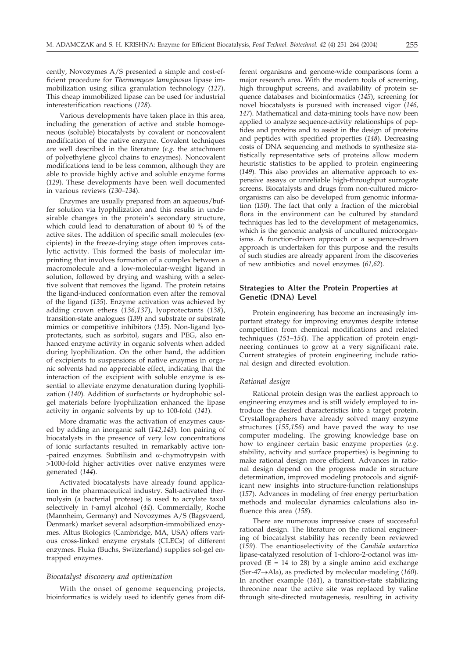cently, Novozymes A/S presented a simple and cost-efficient procedure for *Thermomyces lanuginosus* lipase immobilization using silica granulation technology (*127*). This cheap immobilized lipase can be used for industrial interesterification reactions (*128*).

Various developments have taken place in this area, including the generation of active and stable homogeneous (soluble) biocatalysts by covalent or noncovalent modification of the native enzyme. Covalent techniques are well described in the literature (*e.g.* the attachment of polyethylene glycol chains to enzymes). Noncovalent modifications tend to be less common, although they are able to provide highly active and soluble enzyme forms (*129*). These developments have been well documented in various reviews (*130–134*).

Enzymes are usually prepared from an aqueous/buffer solution via lyophilization and this results in undesirable changes in the protein's secondary structure, which could lead to denaturation of about 40 % of the active sites. The addition of specific small molecules (excipients) in the freeze-drying stage often improves catalytic activity. This formed the basis of molecular imprinting that involves formation of a complex between a macromolecule and a low-molecular-weight ligand in solution, followed by drying and washing with a selective solvent that removes the ligand. The protein retains the ligand-induced conformation even after the removal of the ligand (*135*). Enzyme activation was achieved by adding crown ethers (*136,137*), lyoprotectants (*138*), transition-state analogues (*139*) and substrate or substrate mimics or competitive inhibitors (*135*). Non-ligand lyoprotectants, such as sorbitol, sugars and PEG, also enhanced enzyme activity in organic solvents when added during lyophilization. On the other hand, the addition of excipients to suspensions of native enzymes in organic solvents had no appreciable effect, indicating that the interaction of the excipient with soluble enzyme is essential to alleviate enzyme denaturation during lyophilization (*140*). Addition of surfactants or hydrophobic solgel materials before lyophilization enhanced the lipase activity in organic solvents by up to 100-fold (*141*).

More dramatic was the activation of enzymes caused by adding an inorganic salt (*142,143*). Ion pairing of biocatalysts in the presence of very low concentrations of ionic surfactants resulted in remarkably active ion- -paired enzymes. Subtilisin and  $\alpha$ -chymotrypsin with >1000-fold higher activities over native enzymes were generated (*144*).

Activated biocatalysts have already found application in the pharmaceutical industry. Salt-activated thermolysin (a bacterial protease) is used to acrylate taxol selectively in *t*-amyl alcohol (*44*). Commercially, Roche (Mannheim, Germany) and Novozymes A/S (Bagsvaerd, Denmark) market several adsorption-immobilized enzymes. Altus Biologics (Cambridge, MA, USA) offers various cross-linked enzyme crystals (CLECs) of different enzymes. Fluka (Buchs, Switzerland) supplies sol-gel entrapped enzymes.

# *Biocatalyst discovery and optimization*

With the onset of genome sequencing projects, bioinformatics is widely used to identify genes from different organisms and genome-wide comparisons form a major research area. With the modern tools of screening, high throughput screens, and availability of protein sequence databases and bioinformatics (*145*), screening for novel biocatalysts is pursued with increased vigor (*146, 147*). Mathematical and data-mining tools have now been applied to analyze sequence-activity relationships of peptides and proteins and to assist in the design of proteins and peptides with specified properties (*148*). Decreasing costs of DNA sequencing and methods to synthesize statistically representative sets of proteins allow modern heuristic statistics to be applied to protein engineering (*149*). This also provides an alternative approach to expensive assays or unreliable high-throughput surrogate screens. Biocatalysts and drugs from non-cultured microorganisms can also be developed from genomic information (*150*). The fact that only a fraction of the microbial flora in the environment can be cultured by standard techniques has led to the development of metagenomics, which is the genomic analysis of uncultured microorganisms. A function-driven approach or a sequence-driven approach is undertaken for this purpose and the results of such studies are already apparent from the discoveries of new antibiotics and novel enzymes (*61,62*).

# **Strategies to Alter the Protein Properties at Genetic (DNA) Level**

Protein engineering has become an increasingly important strategy for improving enzymes despite intense competition from chemical modifications and related techniques (*151–154*). The application of protein engineering continues to grow at a very significant rate. Current strategies of protein engineering include rational design and directed evolution.

# *Rational design*

Rational protein design was the earliest approach to engineering enzymes and is still widely employed to introduce the desired characteristics into a target protein. Crystallographers have already solved many enzyme structures (*155,156*) and have paved the way to use computer modeling. The growing knowledge base on how to engineer certain basic enzyme properties (*e.g.* stability, activity and surface properties) is beginning to make rational design more efficient. Advances in rational design depend on the progress made in structure determination, improved modeling protocols and significant new insights into structure-function relationships (*157*). Advances in modeling of free energy perturbation methods and molecular dynamics calculations also influence this area (*158*).

There are numerous impressive cases of successful rational design. The literature on the rational engineering of biocatalyst stability has recently been reviewed (*159*). The enantioselectivity of the *Candida antarctica* lipase-catalyzed resolution of 1-chloro-2-octanol was improved  $(E = 14$  to 28) by a single amino acid exchange (Ser-47-Ala), as predicted by molecular modeling (*160*). In another example (*161*), a transition-state stabilizing threonine near the active site was replaced by valine through site-directed mutagenesis, resulting in activity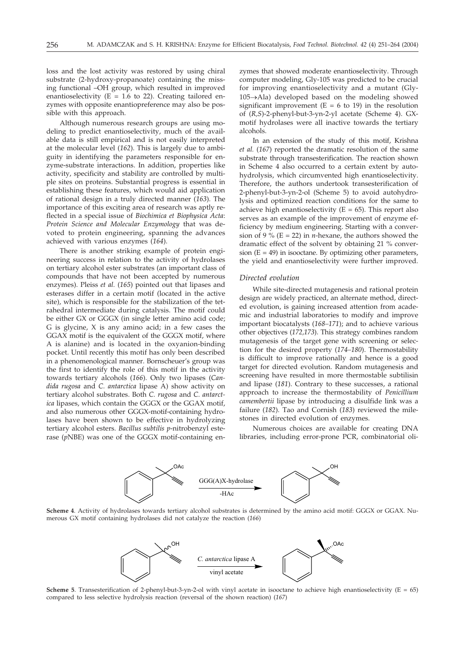loss and the lost activity was restored by using chiral substrate (2-hydroxy-propanoate) containing the missing functional –OH group, which resulted in improved enantioselectivity ( $E = 1.6$  to 22). Creating tailored enzymes with opposite enantiopreference may also be possible with this approach.

Although numerous research groups are using modeling to predict enantioselectivity, much of the available data is still empirical and is not easily interpreted at the molecular level (*162*). This is largely due to ambiguity in identifying the parameters responsible for enzyme-substrate interactions. In addition, properties like activity, specificity and stability are controlled by multiple sites on proteins. Substantial progress is essential in establishing these features, which would aid application of rational design in a truly directed manner (*163*). The importance of this exciting area of research was aptly reflected in a special issue of *Biochimica et Biophysica Acta*: *Protein Science and Molecular Enzymology* that was devoted to protein engineering, spanning the advances achieved with various enzymes (*164*).

There is another striking example of protein engineering success in relation to the activity of hydrolases on tertiary alcohol ester substrates (an important class of compounds that have not been accepted by numerous enzymes). Pleiss *et al.* (*165*) pointed out that lipases and esterases differ in a certain motif (located in the active site), which is responsible for the stabilization of the tetrahedral intermediate during catalysis. The motif could be either GX or GGGX (in single letter amino acid code; G is glycine, X is any amino acid; in a few cases the GGAX motif is the equivalent of the GGGX motif, where A is alanine) and is located in the oxyanion-binding pocket. Until recently this motif has only been described in a phenomenological manner. Bornscheuer's group was the first to identify the role of this motif in the activity towards tertiary alcohols (*166*). Only two lipases (*Candida rugosa* and *C. antarctica* lipase A) show activity on tertiary alcohol substrates. Both *C. rugosa* and *C. antarctica* lipases, which contain the GGGX or the GGAX motif, and also numerous other GGGX-motif-containing hydrolases have been shown to be effective in hydrolyzing tertiary alcohol esters. *Bacillus subtilis p*-nitrobenzyl esterase (*p*NBE) was one of the GGGX motif-containing enzymes that showed moderate enantioselectivity. Through computer modeling, Gly-105 was predicted to be crucial for improving enantioselectivity and a mutant (Gly-105-Ala) developed based on the modeling showed significant improvement ( $E = 6$  to 19) in the resolution of (*R,S*)-2-phenyl-but-3-yn-2-yl acetate (Scheme 4). GXmotif hydrolases were all inactive towards the tertiary alcohols.

In an extension of the study of this motif, Krishna *et al.* (*167*) reported the dramatic resolution of the same substrate through transesterification. The reaction shown in Scheme 4 also occurred to a certain extent by autohydrolysis, which circumvented high enantioselectivity. Therefore, the authors undertook transesterification of 2-phenyl-but-3-yn-2-ol (Scheme 5) to avoid autohydrolysis and optimized reaction conditions for the same to achieve high enantioselectivity ( $E = 65$ ). This report also serves as an example of the improvement of enzyme efficiency by medium engineering. Starting with a conversion of 9 % ( $E = 22$ ) in *n*-hexane, the authors showed the dramatic effect of the solvent by obtaining 21 % conversion  $(E = 49)$  in isooctane. By optimizing other parameters, the yield and enantioselectivity were further improved.

## *Directed evolution*

While site-directed mutagenesis and rational protein design are widely practiced, an alternate method, directed evolution, is gaining increased attention from academic and industrial laboratories to modify and improve important biocatalysts (*168–171*); and to achieve various other objectives (*172,173*). This strategy combines random mutagenesis of the target gene with screening or selection for the desired property (*174–180*). Thermostability is difficult to improve rationally and hence is a good target for directed evolution. Random mutagenesis and screening have resulted in more thermostable subtilisin and lipase (*181*). Contrary to these successes, a rational approach to increase the thermostability of *Penicillium camembertii* lipase by introducing a disulfide link was a failure (*182*). Tao and Cornish (*183*) reviewed the milestones in directed evolution of enzymes.

Numerous choices are available for creating DNA libraries, including error-prone PCR, combinatorial oli-



**Scheme 4**. Activity of hydrolases towards tertiary alcohol substrates is determined by the amino acid motif: GGGX or GGAX. Numerous GX motif containing hydrolases did not catalyze the reaction (*166*)



**Scheme 5**. Transesterification of 2-phenyl-but-3-yn-2-ol with vinyl acetate in isooctane to achieve high enantioselectivity (E = 65) compared to less selective hydrolysis reaction (reversal of the shown reaction) (*167*)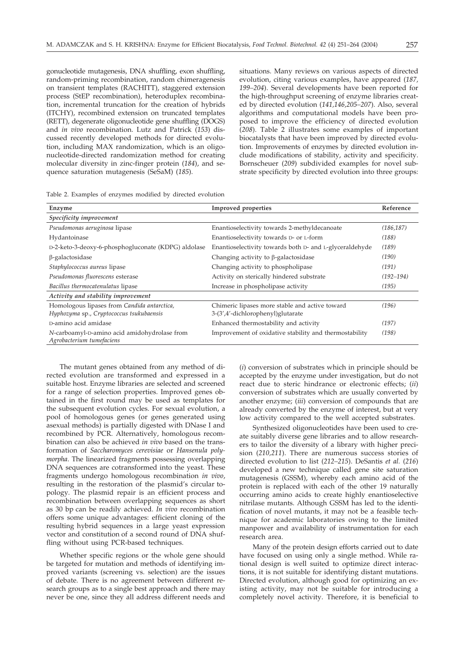gonucleotide mutagenesis, DNA shuffling, exon shuffling, random-priming recombination, random chimeragenesis on transient templates (RACHITT), staggered extension process (StEP recombination), heteroduplex recombination, incremental truncation for the creation of hybrids (ITCHY), recombined extension on truncated templates (RETT), degenerate oligonucleotide gene shuffling (DOGS) and *in vivo* recombination. Lutz and Patrick (*153*) discussed recently developed methods for directed evolution, including MAX randomization, which is an oligonucleotide-directed randomization method for creating molecular diversity in zinc-finger protein (*184*), and sequence saturation mutagenesis (SeSaM) (*185*).

situations. Many reviews on various aspects of directed evolution, citing various examples, have appeared (*187, 199–204*). Several developments have been reported for the high-throughput screening of enzyme libraries created by directed evolution (*141,146,205–207*). Also, several algorithms and computational models have been proposed to improve the efficiency of directed evolution (*208*). Table 2 illustrates some examples of important biocatalysts that have been improved by directed evolution. Improvements of enzymes by directed evolution include modifications of stability, activity and specificity. Bornscheuer (*209*) subdivided examples for novel substrate specificity by directed evolution into three groups:

|  |  |  | Table 2. Examples of enzymes modified by directed evolution |
|--|--|--|-------------------------------------------------------------|
|  |  |  |                                                             |

| Enzyme                                                                                  | <b>Improved</b> properties                                                          | Reference     |
|-----------------------------------------------------------------------------------------|-------------------------------------------------------------------------------------|---------------|
| Specificity improvement                                                                 |                                                                                     |               |
| Pseudomonas aeruginosa lipase                                                           | Enantioselectivity towards 2-methyldecanoate                                        | (186, 187)    |
| Hydantoinase                                                                            | Enantioselectivity towards D- or L-form                                             | (188)         |
| D-2-keto-3-deoxy-6-phosphogluconate (KDPG) aldolase                                     | Enantioselectivity towards both D- and L-glyceraldehyde                             | (189)         |
| $\beta$ -galactosidase                                                                  | Changing activity to $\beta$ -galactosidase                                         | (190)         |
| Staphylococcus aureus lipase                                                            | Changing activity to phospholipase                                                  | (191)         |
| Pseudomonas fluorescens esterase                                                        | Activity on sterically hindered substrate                                           | $(192 - 194)$ |
| Bacillus thermocatenulatus lipase                                                       | Increase in phospholipase activity                                                  | (195)         |
| Activity and stability improvement                                                      |                                                                                     |               |
| Homologous lipases from Candida antarctica,<br>Hyphozyma sp., Cryptococcus tsukubaensis | Chimeric lipases more stable and active toward<br>3-(3',4'-dichlorophenyl)glutarate | (196)         |
| D-amino acid amidase                                                                    | Enhanced thermostability and activity                                               | (197)         |
| N-carboamyl-D-amino acid amidohydrolase from<br>Agrobacterium tumefaciens               | Improvement of oxidative stability and thermostability                              | (198)         |

The mutant genes obtained from any method of directed evolution are transformed and expressed in a suitable host. Enzyme libraries are selected and screened for a range of selection properties. Improved genes obtained in the first round may be used as templates for the subsequent evolution cycles. For sexual evolution, a pool of homologous genes (or genes generated using asexual methods) is partially digested with DNase I and recombined by PCR. Alternatively, homologous recombination can also be achieved *in vivo* based on the transformation of *Saccharomyces cerevisiae* or *Hansenula polymorpha*. The linearized fragments possessing overlapping DNA sequences are cotransformed into the yeast. These fragments undergo homologous recombination *in vivo*, resulting in the restoration of the plasmid's circular topology. The plasmid repair is an efficient process and recombination between overlapping sequences as short as 30 bp can be readily achieved. *In vivo* recombination offers some unique advantages: efficient cloning of the resulting hybrid sequences in a large yeast expression vector and constitution of a second round of DNA shuffling without using PCR-based techniques.

Whether specific regions or the whole gene should be targeted for mutation and methods of identifying improved variants (screening vs. selection) are the issues of debate. There is no agreement between different research groups as to a single best approach and there may never be one, since they all address different needs and

(*i*) conversion of substrates which in principle should be accepted by the enzyme under investigation, but do not react due to steric hindrance or electronic effects; (*ii*) conversion of substrates which are usually converted by another enzyme; (*iii*) conversion of compounds that are already converted by the enzyme of interest, but at very low activity compared to the well accepted substrates.

Synthesized oligonucleotides have been used to create suitably diverse gene libraries and to allow researchers to tailor the diversity of a library with higher precision (*210,211*). There are numerous success stories of directed evolution to list (*212–215*). DeSantis *et al.* (*216*) developed a new technique called gene site saturation mutagenesis (GSSM), whereby each amino acid of the protein is replaced with each of the other 19 naturally occurring amino acids to create highly enantioselective nitrilase mutants. Although GSSM has led to the identification of novel mutants, it may not be a feasible technique for academic laboratories owing to the limited manpower and availability of instrumentation for each research area.

Many of the protein design efforts carried out to date have focused on using only a single method. While rational design is well suited to optimize direct interactions, it is not suitable for identifying distant mutations. Directed evolution, although good for optimizing an existing activity, may not be suitable for introducing a completely novel activity. Therefore, it is beneficial to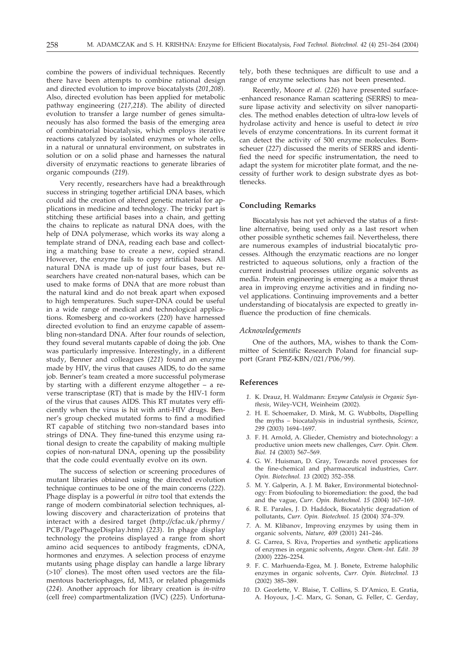combine the powers of individual techniques. Recently there have been attempts to combine rational design and directed evolution to improve biocatalysts (*201,208*). Also, directed evolution has been applied for metabolic pathway engineering (*217,218*). The ability of directed evolution to transfer a large number of genes simultaneously has also formed the basis of the emerging area of combinatorial biocatalysis, which employs iterative reactions catalyzed by isolated enzymes or whole cells, in a natural or unnatural environment, on substrates in solution or on a solid phase and harnesses the natural diversity of enzymatic reactions to generate libraries of organic compounds (*219*).

Very recently, researchers have had a breakthrough success in stringing together artificial DNA bases, which could aid the creation of altered genetic material for applications in medicine and technology. The tricky part is stitching these artificial bases into a chain, and getting the chains to replicate as natural DNA does, with the help of DNA polymerase, which works its way along a template strand of DNA, reading each base and collecting a matching base to create a new, copied strand. However, the enzyme fails to copy artificial bases. All natural DNA is made up of just four bases, but researchers have created non-natural bases, which can be used to make forms of DNA that are more robust than the natural kind and do not break apart when exposed to high temperatures. Such super-DNA could be useful in a wide range of medical and technological applications. Romesberg and co-workers (*220*) have harnessed directed evolution to find an enzyme capable of assembling non-standard DNA. After four rounds of selection, they found several mutants capable of doing the job. One was particularly impressive. Interestingly, in a different study, Benner and colleagues (*221*) found an enzyme made by HIV, the virus that causes AIDS, to do the same job. Benner's team created a more successful polymerase by starting with a different enzyme altogether – a reverse transcriptase (RT) that is made by the HIV-1 form of the virus that causes AIDS. This RT mutates very efficiently when the virus is hit with anti-HIV drugs. Benner's group checked mutated forms to find a modified RT capable of stitching two non-standard bases into strings of DNA. They fine-tuned this enzyme using rational design to create the capability of making multiple copies of non-natural DNA, opening up the possibility that the code could eventually evolve on its own.

The success of selection or screening procedures of mutant libraries obtained using the directed evolution technique continues to be one of the main concerns (*222*). Phage display is a powerful *in vitro* tool that extends the range of modern combinatorial selection techniques, allowing discovery and characterization of proteins that interact with a desired target (http:*//*cfac.uk/phrmy/ PCB/PagePhageDisplay.htm) (*223*). In phage display technology the proteins displayed a range from short amino acid sequences to antibody fragments, cDNA, hormones and enzymes. A selection process of enzyme mutants using phage display can handle a large library  $(>10<sup>7</sup>$  clones). The most often used vectors are the filamentous bacteriophages, fd, M13, or related phagemids (*224*). Another approach for library creation is *in-vitro* (cell free) compartmentalization (IVC) (*225*). Unfortunately, both these techniques are difficult to use and a range of enzyme selections has not been presented.

Recently, Moore *et al.* (*226*) have presented surface- -enhanced resonance Raman scattering (SERRS) to measure lipase activity and selectivity on silver nanoparticles. The method enables detection of ultra-low levels of hydrolase activity and hence is useful to detect *in vivo* levels of enzyme concentrations. In its current format it can detect the activity of 500 enzyme molecules. Bornscheuer (*227*) discussed the merits of SERRS and identified the need for specific instrumentation, the need to adapt the system for microtiter plate format, and the necessity of further work to design substrate dyes as bottlenecks.

#### **Concluding Remarks**

Biocatalysis has not yet achieved the status of a firstline alternative, being used only as a last resort when other possible synthetic schemes fail. Nevertheless, there are numerous examples of industrial biocatalytic processes. Although the enzymatic reactions are no longer restricted to aqueous solutions, only a fraction of the current industrial processes utilize organic solvents as media. Protein engineering is emerging as a major thrust area in improving enzyme activities and in finding novel applications. Continuing improvements and a better understanding of biocatalysis are expected to greatly influence the production of fine chemicals.

## *Acknowledgements*

One of the authors, MA, wishes to thank the Committee of Scientific Research Poland for financial support (Grant PBZ-KBN/021/P06/99).

# **References**

- *1.* K. Drauz, H. Waldmann: *Enzyme Catalysis in Organic Synthesis*, Wiley-VCH, Weinheim (2002).
- *2.* H. E. Schoemaker, D. Mink, M. G. Wubbolts, Dispelling the myths – biocatalysis in industrial synthesis, *Science*, *299* (2003) 1694–1697.
- *3.* F. H. Arnold, A. Glieder, Chemistry and biotechnology: a productive union meets new challenges, *Curr. Opin. Chem. Biol. 14* (2003) 567–569.
- *4.* G. W. Huisman, D. Gray, Towards novel processes for the fine-chemical and pharmaceutical industries, *Curr. Opin. Biotechnol. 13* (2002) 352–358.
- *5.* M. Y. Galperin, A. J. M. Baker, Environmental biotechnology: From biofouling to bioremediation: the good, the bad and the vague, *Curr. Opin. Biotechnol. 15* (2004) 167–169.
- *6.* R. E. Parales, J. D. Haddock, Biocatalytic degradation of pollutants, *Curr. Opin. Biotechnol. 15* (2004) 374–379.
- *7.* A. M. Klibanov, Improving enzymes by using them in organic solvents, *Nature*, *409* (2001) 241–246.
- *8.* G. Carrea, S. Riva, Properties and synthetic applications of enzymes in organic solvents, *Angew. Chem.-Int. Edit. 39* (2000) 2226–2254.
- *9.* F. C. Marhuenda-Egea, M. J. Bonete, Extreme halophilic enzymes in organic solvents, *Curr. Opin. Biotechnol. 13* (2002) 385–389.
- *10.* D. Georlette, V. Blaise, T. Collins, S. D'Amico, E. Gratia, A. Hoyoux, J.-C. Marx, G. Sonan, G. Feller, C. Gerday,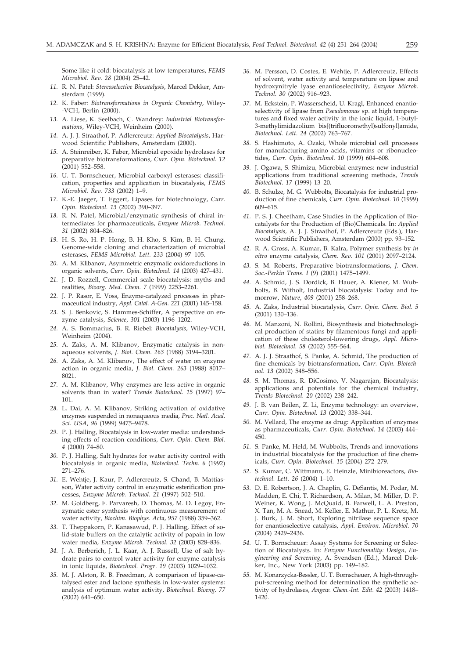Some like it cold: biocatalysis at low temperatures, *FEMS Microbiol. Rev. 28* (2004) 25–42.

- *11.* R. N. Patel: *Stereoselective Biocatalysis*, Marcel Dekker, Amsterdam (1999).
- *12.* K. Faber: *Biotransformations in Organic Chemistry*, Wiley- -VCH, Berlin (2000).
- *13.* A. Liese, K. Seelbach, C. Wandrey: *Industrial Biotransformations*, Wiley-VCH, Weinheim (2000).
- *14.* A. J. J. Straathof, P. Adlercreutz: *Applied Biocatalysis*, Harwood Scientific Publishers, Amsterdam (2000).
- *15.* A. Steinreiber, K. Faber, Microbial epoxide hydrolases for preparative biotransformations, *Curr. Opin. Biotechnol. 12*  $(2001)$  552-558.
- *16.* U. T. Bornscheuer, Microbial carboxyl esterases: classification, properties and application in biocatalysis, *FEMS Microbiol. Rev. 733* (2002) 1–9.
- *17.* K.-E. Jaeger, T. Eggert, Lipases for biotechnology, *Curr. Opin. Biotechnol. 13* (2002) 390–397.
- *18.* R. N. Patel, Microbial/enzymatic synthesis of chiral intermediates for pharmaceuticals, *Enzyme Microb. Technol. 31* (2002) 804–826.
- *19.* H. S. Ro, H. P. Hong, B. H. Kho, S. Kim, B. H. Chung, Genome-wide cloning and characterization of microbial esterases, *FEMS Microbiol. Lett. 233* (2004) 97–105.
- *20.* A. M. Klibanov, Asymmetric enzymatic oxidoreductions in organic solvents, *Curr. Opin. Biotechnol. 14* (2003) 427–431.
- *21.* J. D. Rozzell, Commercial scale biocatalysis: myths and realities, *Bioorg. Med. Chem. 7* (1999) 2253–2261.
- *22.* J. P. Rasor, E. Voss, Enzyme-catalyzed processes in pharmaceutical industry, *Appl. Catal. A-Gen. 221* (2001) 145–158.
- *23.* S. J. Benkovic, S. Hammes-Schiffer, A perspective on enzyme catalysis, *Science*, *301* (2003) 1196–1202.
- *24.* A. S. Bommarius, B. R. Riebel: *Biocatalysis*, Wiley-VCH, Weinheim (2004).
- *25.* A. Zaks, A. M. Klibanov, Enzymatic catalysis in nonaqueous solvents, *J. Biol. Chem. 263* (1988) 3194–3201.
- *26.* A. Zaks, A. M. Klibanov, The effect of water on enzyme action in organic media, *J. Biol. Chem. 263* (1988) 8017– 8021.
- *27.* A. M. Klibanov, Why enzymes are less active in organic solvents than in water? *Trends Biotechnol. 15* (1997) 97– 101.
- *28.* L. Dai, A. M. Klibanov, Striking activation of oxidative enzymes suspended in nonaqueous media, *Proc. Natl. Acad. Sci. USA*, *96* (1999) 9475–9478.
- *29.* P. J. Halling, Biocatalysis in low-water media: understanding effects of reaction conditions, *Curr. Opin. Chem. Biol. 4* (2000) 74–80.
- *30.* P. J. Halling, Salt hydrates for water activity control with biocatalysis in organic media, *Biotechnol. Techn. 6* (1992) 271–276.
- *31.* E. Wehtje, J. Kaur, P. Adlercreutz, S. Chand, B. Mattiasson, Water activity control in enzymatic esterification processes, *Enzyme Microb. Technol. 21* (1997) 502–510.
- *32.* M. Goldberg, F. Parvaresh, D. Thomas, M. D. Legoy, Enzymatic ester synthesis with continuous measurement of water activity, *Biochim. Biophys. Acta*, *957* (1988) 359–362.
- *33.* T. Theppakorn, P. Kanasawud, P. J. Halling, Effect of solid-state buffers on the catalytic activity of papain in low water media, *Enzyme Microb. Technol. 32* (2003) 828–836.
- *34.* J. A. Berberich, J. L. Kaar, A. J. Russell, Use of salt hydrate pairs to control water activity for enzyme catalysis in ionic liquids, *Biotechnol. Progr. 19* (2003) 1029–1032.
- *35.* M. J. Alston, R. B. Freedman, A comparison of lipase-catalysed ester and lactone synthesis in low-water systems: analysis of optimum water activity, *Biotechnol. Bioeng. 77* (2002) 641–650.
- *36.* M. Persson, D. Costes, E. Wehtje, P. Adlercreutz, Effects of solvent, water activity and temperature on lipase and hydroxynitryle lyase enantioselectivity, *Enzyme Microb. Technol. 30* (2002) 916–923.
- *37.* M. Eckstein, P. Wasserscheid, U. Kragl, Enhanced enantioselectivity of lipase from *Pseudomonas* sp. at high temperatures and fixed water activity in the ionic liquid, 1-butyl-3-methylimidazolium bis(trifluoromethyl)sulfonylamide, *Biotechnol. Lett. 24* (2002) 763–767.
- *38.* S. Hashimoto, A. Ozaki, Whole microbial cell processes for manufacturing amino acids, vitamins or ribonucleotides, *Curr. Opin. Biotechnol. 10* (1999) 604–608.
- *39.* J. Ogawa, S. Shimizu, Microbial enzymes: new industrial applications from traditional screening methods, *Trends Biotechnol. 17* (1999) 13–20.
- *40.* B. Schulze, M. G. Wubbolts, Biocatalysis for industrial production of fine chemicals, *Curr. Opin. Biotechnol. 10* (1999) 609–615.
- *41.* P. S. J. Cheetham, Case Studies in the Application of Biocatalysts for the Production of (Bio)Chemicals. In: *Applied Biocatalysis,* A. J. J. Straathof, P. Adlercreutz (Eds.), Harwood Scientific Publishers, Amsterdam (2000) pp. 93–152.
- *42.* R. A. Gross, A. Kumar, B. Kalra, Polymer synthesis by *in vitro* enzyme catalysis, *Chem. Rev. 101* (2001) 2097–2124.
- *43.* S. M. Roberts, Preparative biotransformations, *J. Chem. Soc.-Perkin Trans. I* (9) (2001) 1475–1499.
- *44.* A. Schmid, J. S. Dordick, B. Hauer, A. Kiener, M. Wubbolts, B. Witholt, Industrial biocatalysis: Today and tomorrow, *Nature*, *409* (2001) 258–268.
- *45.* A. Zaks, Industrial biocatalysis, *Curr. Opin. Chem. Biol. 5* (2001) 130–136.
- *46.* M. Manzoni, N. Rollini, Biosynthesis and biotechnological production of statins by filamentous fungi and application of these cholesterol-lowering drugs, *Appl. Microbiol. Biotechnol. 58* (2002) 555–564.
- *47.* A. J. J. Straathof, S. Panke, A. Schmid, The production of fine chemicals by biotransformation, *Curr. Opin. Biotechnol. 13* (2002) 548–556.
- *48.* S. M. Thomas, R. DiCosimo, V. Nagarajan, Biocatalysis: applications and potentials for the chemical industry, *Trends Biotechnol. 20* (2002) 238–242.
- *49.* J. B. van Beilen, Z. Li, Enzyme technology: an overview, *Curr. Opin. Biotechnol. 13* (2002) 338–344.
- *50.* M. Vellard, The enzyme as drug: Application of enzymes as pharmaceuticals, *Curr. Opin. Biotechnol. 14* (2003) 444– 450.
- *51.* S. Panke, M. Held, M. Wubbolts, Trends and innovations in industrial biocatalysis for the production of fine chemicals, *Curr. Opin. Biotechnol. 15* (2004) 272–279.
- *52.* S. Kumar, C. Wittmann, E. Heinzle, Minibioreactors, *Biotechnol. Lett. 26* (2004) 1–10.
- *53.* D. E. Robertson, J. A. Chaplin, G. DeSantis, M. Podar, M. Madden, E. Chi, T. Richardson, A. Milan, M. Miller, D. P. Weiner, K. Wong, J. McQuaid, B. Farwell, L. A. Preston, X. Tan, M. A. Snead, M. Keller, E. Mathur, P. L. Kretz, M. J. Burk, J. M. Short, Exploring nitrilase sequence space for enantioselective catalysis, *Appl. Environ. Microbiol. 70* (2004) 2429–2436.
- *54.* U. T. Bornscheuer: Assay Systems for Screening or Selection of Biocatalysts. In: *Enzyme Functionality: Design, Engineering and Screening*, A. Svendsen (Ed.), Marcel Dekker, Inc., New York (2003) pp. 149–182.
- *55.* M. Konarzycka-Bessler, U. T. Bornscheuer, A high-throughput-screening method for determination the synthetic activity of hydrolases, *Angew. Chem.-Int. Edit. 42* (2003) 1418– 1420.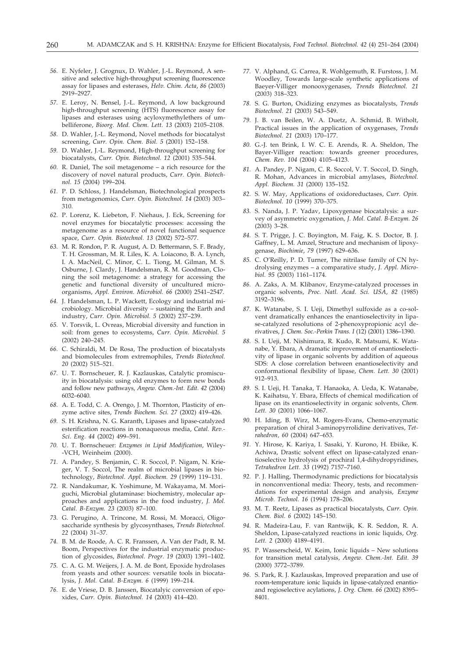- *56.* E. Nyfeler, J. Grognux, D. Wahler, J.-L. Reymond, A sensitive and selective high-throughput screening fluorescence assay for lipases and esterases, *Helv. Chim. Acta*, *86* (2003) 2919–2927.
- *57.* E. Leroy, N. Bensel, J.-L. Reymond, A low background high-throughput screening (HTS) fluorescence assay for lipases and esterases using acyloxymethylethers of umbelliferone, *Bioorg. Med. Chem. Lett. 13* (2003) 2105–2108.
- *58.* D. Wahler, J.-L. Reymond, Novel methods for biocatalyst screening, *Curr. Opin. Chem. Biol. 5* (2001) 152–158.
- *59.* D. Wahler, J.-L. Reymond, High-throughput screening for biocatalysts, *Curr. Opin. Biotechnol. 12* (2001) 535–544.
- *60.* R. Daniel, The soil metagenome a rich resource for the discovery of novel natural products, *Curr. Opin. Biotechnol. 15* (2004) 199–204.
- *61.* P. D. Schloss, J. Handelsman, Biotechnological prospects from metagenomics, *Curr. Opin. Biotechnol. 14* (2003) 303– 310.
- *62.* P. Lorenz, K. Liebeton, F. Niehaus, J. Eck, Screening for novel enzymes for biocatalytic processes: accessing the metagenome as a resource of novel functional sequence space, *Curr. Opin. Biotechnol. 13* (2002) 572–577.
- *63.* M. R. Rondon, P. R. August, A. D. Bettermann, S. F. Brady, T. H. Grossman, M. R. Liles, K. A. Loiacono, B. A. Lynch, I. A. MacNeil, C. Minor, C. L. Tiong, M. Gilman, M. S. Osburne, J. Clardy, J. Handelsman, R. M. Goodman, Cloning the soil metagenome: a strategy for accessing the genetic and functional diversity of uncultured microorganisms, *Appl. Environ. Microbiol. 66* (2000) 2541–2547.
- *64.* J. Handelsman, L. P. Wackett, Ecology and industrial microbiology. Microbial diversity – sustaining the Earth and industry, *Curr. Opin. Microbiol. 5* (2002) 237–239.
- *65.* V. Torsvik, L. Ovreas, Microbial diversity and function in soil: from genes to ecosystems, *Curr. Opin. Microbiol. 5* (2002) 240–245.
- *66.* C. Schiraldi, M. De Rosa, The production of biocatalysts and biomolecules from extremophiles, *Trends Biotechnol. 20* (2002) 515–521.
- *67.* U. T. Bornscheuer, R. J. Kazlauskas, Catalytic promiscuity in biocatalysis: using old enzymes to form new bonds and follow new pathways, *Angew. Chem.-Int. Edit. 42* (2004) 6032–6040.
- *68.* A. E. Todd, C. A. Orengo, J. M. Thornton, Plasticity of enzyme active sites, *Trends Biochem. Sci. 27* (2002) 419–426.
- *69.* S. H. Krishna, N. G. Karanth, Lipases and lipase-catalyzed esterification reactions in nonaqueous media, *Catal. Rev.- Sci. Eng. 44* (2002) 499–591.
- *70.* U. T. Bornscheuer: *Enzymes in Lipid Modification*, Wiley- -VCH, Weinheim (2000).
- *71.* A. Pandey, S. Benjamin, C. R. Soccol, P. Nigam, N. Krieger, V. T. Soccol, The realm of microbial lipases in biotechnology, *Biotechnol. Appl. Biochem. 29* (1999) 119–131.
- *72.* R. Nandakumar, K. Yoshimune, M. Wakayama, M. Moriguchi, Microbial glutaminase: biochemistry, molecular approaches and applications in the food industry, *J. Mol. Catal. B-Enzym. 23* (2003) 87–100.
- *73.* G. Perugino, A. Trincone, M. Rossi, M. Moracci, Oligosaccharide synthesis by glycosynthases, *Trends Biotechnol. 22* (2004) 31–37.
- *74.* B. M. de Roode, A. C. R. Franssen, A. Van der Padt, R. M. Boom, Perspectives for the industrial enzymatic production of glycosides, *Biotechnol. Progr. 19* (2003) 1391–1402.
- *75.* C. A. G. M. Weijers, J. A. M. de Bont, Epoxide hydrolases from yeasts and other sources: versatile tools in biocatalysis, *J. Mol. Catal. B-Enzym. 6* (1999) 199–214.
- *76.* E. de Vriese, D. B. Janssen, Biocatalyic conversion of epoxides, *Curr. Opin. Biotechnol. 14* (2003) 414–420.
- *77.* V. Alphand, G. Carrea, R. Wohlgemuth, R. Furstoss, J. M. Woodley, Towards large-scale synthetic applications of Baeyer-Villiger monooxygenases, *Trends Biotechnol. 21* (2003) 318–323.
- *78.* S. G. Burton, Oxidizing enzymes as biocatalysts, *Trends Biotechnol. 21* (2003) 543–549.
- *79.* J. B. van Beilen, W. A. Duetz, A. Schmid, B. Witholt, Practical issues in the application of oxygenases, *Trends Biotechnol. 21* (2003) 170–177.
- *80.* G.-J. ten Brink, I. W. C. E. Arends, R. A. Sheldon, The Bayer-Villiger reaction: towards greener procedures, *Chem. Rev. 104* (2004) 4105–4123.
- *81.* A. Pandey, P. Nigam, C. R. Soccol, V. T. Soccol, D. Singh, R. Mohan, Advances in microbial amylases, *Biotechnol. Appl. Biochem. 31* (2000) 135–152.
- *82.* S. W. May, Applications of oxidoreductases, *Curr. Opin. Biotechnol. 10* (1999) 370–375.
- *83.* S. Nanda, J. P. Yadav, Lipoxygenase biocatalysis: a survey of asymmetric oxygenation, *J. Mol. Catal. B-Enzym. 26* (2003) 3–28.
- *84.* S. T. Prigge, J. C. Boyington, M. Faig, K. S. Doctor, B. J. Gaffney, L. M. Amzel, Structure and mechanism of lipoxygenase, *Biochimie*, *79* (1997) 629–636.
- *85.* C. O'Reilly, P. D. Turner, The nitrilase family of CN hydrolysing enzymes – a comparative study, *J. Appl. Microbiol. 95* (2003) 1161–1174.
- *86.* A. Zaks, A. M. Klibanov, Enzyme-catalyzed processes in organic solvents, *Proc. Natl. Acad. Sci. USA*, *82* (1985) 3192–3196.
- *87.* K. Watanabe, S. I. Ueji, Dimethyl sulfoxide as a co-solvent dramatically enhances the enantioselectivity in lipase-catalyzed resolutions of 2-phenoxypropionic acyl derivatives, *J. Chem. Soc.-Perkin Trans. I* (12) (2001) 1386–1390.
- *88.* S. I. Ueji, M. Nishimura, R. Kudo, R. Matsumi, K. Watanabe, Y. Ebara, A dramatic improvement of enantioselectivity of lipase in organic solvents by addition of aqueous SDS: A close correlation between enantioselectivity and conformational flexibility of lipase, *Chem. Lett. 30* (2001) 912–913.
- *89.* S. I. Ueji, H. Tanaka, T. Hanaoka, A. Ueda, K. Watanabe, K. Kaihatsu, Y. Ebara, Effects of chemical modification of lipase on its enantioselectivity in organic solvents, *Chem. Lett. 30* (2001) 1066–1067.
- *90.* H. Iding, B. Wirz, M. Rogers-Evans, Chemo-enzymatic preparation of chiral 3-aminopyrrolidine derivatives, *Tetrahedron, 60* (2004) 647–653.
- *91.* Y. Hirose, K. Kariya, I. Sasaki, Y. Kurono, H. Ebiike, K. Achiwa, Drastic solvent effect on lipase-catalyzed enantioselective hydrolysis of prochiral 1,4-dihydropyridines, *Tetrahedron Lett. 33* (1992) 7157–7160.
- *92.* P. J. Halling, Thermodynamic predictions for biocatalysis in nonconventional media: Theory, tests, and recommendations for experimental design and analysis, *Enzyme Microb. Technol. 16* (1994) 178–206.
- *93.* M. T. Reetz, Lipases as practical biocatalysts, *Curr. Opin. Chem. Biol. 6* (2002) 145–150.
- *94.* R. Madeira-Lau, F. van Rantwijk, K. R. Seddon, R. A. Sheldon, Lipase-catalyzed reactions in ionic liquids, *Org. Lett. 2* (2000) 4189–4191.
- *95.* P. Wasserscheid, W. Keim, Ionic liquids New solutions for transition metal catalysis, *Angew. Chem.-Int. Edit. 39* (2000) 3772–3789.
- *96.* S. Park, R. J. Kazlauskas, Improved preparation and use of room-temperature ionic liquids in lipase-catalyzed enantioand regioselective acylations, *J. Org. Chem. 66* (2002) 8395– 8401.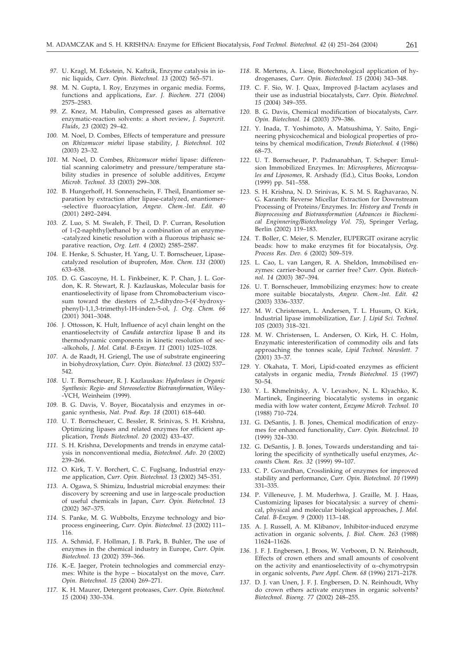- *97.* U. Kragl, M. Eckstein, N. Kaftzik, Enzyme catalysis in ionic liquids, *Curr. Opin. Biotechnol. 13* (2002) 565–571.
- *98.* M. N. Gupta, I. Roy, Enzymes in organic media. Forms, functions and applications, *Eur. J. Biochem. 271* (2004) 2575–2583.
- *99.* Z. Knez, M. Habulin, Compressed gases as alternative enzymatic-reaction solvents: a short review, *J. Supercrit. Fluids*, *23* (2002) 29–42.
- *100.* M. Noel, D. Combes, Effects of temperature and pressure on *Rhizomucor miehei* lipase stability, *J. Biotechnol. 102* (2003) 23–32.
- *101.* M. Noel, D. Combes, *Rhizomucor miehei* lipase: differential scanning calorimetry and pressure/temperature stability studies in presence of soluble additives, *Enzyme Microb. Technol. 33* (2003) 299–308.
- *102.* B. Hungerhoff, H. Sonnenschein, F. Theil, Enantiomer separation by extraction after lipase-catalyzed, enantiomer- -selective fluoroacylation, *Angew. Chem.-Int. Edit. 40* (2001) 2492–2494.
- *103.* Z. Luo, S. M. Swaleh, F. Theil, D. P. Curran, Resolution of 1-(2-naphthyl)ethanol by a combination of an enzyme- -catalyzed kinetic resolution with a fluorous triphasic separative reaction, *Org. Lett. 4* (2002) 2585–2587.
- *104.* E. Henke, S. Schuster, H. Yang, U. T. Bornscheuer, Lipasecatalyzed resolution of ibuprofen, *Mon. Chem. 131* (2000) 633–638.
- *105.* D. G. Gascoyne, H. L. Finkbeiner, K. P. Chan, J. L. Gordon, K. R. Stewart, R. J. Kazlauskas, Molecular basis for enantioselectivity of lipase from Chromobacterium viscosum toward the diesters of 2,3-dihydro-3-(4'-hydroxyphenyl)-1,1,3-trimethyl-1H-inden-5-ol, *J. Org. Chem. 66* (2001) 3041–3048.
- *106.* J. Ottosson, K. Hult, Influence of acyl chain lenght on the enantioselectvity of *Candida antarctica* lipase B and its thermodynamic components in kinetic resolution of sec- -alkohols, *J. Mol. Catal. B-Enzym. 11* (2001) 1025–1028.
- *107.* A. de Raadt, H. Griengl, The use of substrate engineering in biohydroxylation, *Curr. Opin. Biotechnol. 13* (2002) 537– 542.
- *108.* U. T. Bornscheuer, R. J. Kazlauskas: *Hydrolases in Organic Synthesis: Regio- and Stereoselective Biotransformation*, Wiley- -VCH, Weinheim (1999).
- *109.* B. G. Davis, V. Boyer, Biocatalysis and enzymes in organic synthesis, *Nat. Prod. Rep. 18* (2001) 618–640.
- *110.* U. T. Bornscheuer, C. Bessler, R. Srinivas, S. H. Krishna, Optimizing lipases and related enzymes for efficient application, *Trends Biotechnol. 20* (2002) 433–437.
- *111.* S. H. Krishna, Developments and trends in enzyme catalysis in nonconventional media, *Biotechnol. Adv. 20* (2002) 239–266.
- *112.* O. Kirk, T. V. Borchert, C. C. Fuglsang, Industrial enzyme application, *Curr. Opin. Biotechnol. 13* (2002) 345–351.
- *113.* A. Ogawa, S. Shimizu, Industrial microbial enzymes: their discovery by screening and use in large-scale production of useful chemicals in Japan, *Curr. Opin. Biotechnol. 13* (2002) 367–375.
- *114.* S. Panke, M. G. Wubbolts, Enzyme technology and bioprocess engineering, *Curr. Opin. Biotechnol. 13* (2002) 111– 116.
- *115.* A. Schmid, F. Hollman, J. B. Park, B. Buhler, The use of enzymes in the chemical industry in Europe, *Curr. Opin. Biotechnol. 13* (2002) 359–366.
- *116.* K.-E. Jaeger, Protein technologies and commercial enzymes: White is the hype – biocatalyst on the move, *Curr. Opin. Biotechnol. 15* (2004) 269–271.
- *117.* K. H. Maurer, Detergent proteases, *Curr. Opin. Biotechnol. 15* (2004) 330–334.
- *118.* R. Mertens, A. Liese, Biotechnological application of hydrogenases, *Curr. Opin. Biotechnol. 15* (2004) 343–348.
- 119. C. F. Sio, W. J. Quax, Improved β-lactam acylases and their use as industrial biocatalysts, *Curr. Opin. Biotechnol. 15* (2004) 349–355.
- *120.* B. G. Davis, Chemical modification of biocatalysts, *Curr. Opin. Biotechnol. 14* (2003) 379–386.
- *121.* Y. Inada, T. Yoshimoto, A. Matsushima, Y. Saito, Engineering physicochemical and biological properties of proteins by chemical modification, *Trends Biotechnol. 4* (1986) 68–73.
- *122.* U. T. Bornscheuer, P. Padmanabhan, T. Scheper: Emulsion Immobilized Enzymes. In: *Microspheres, Microcapsules and Liposomes*, R. Arshady (Ed.), Citus Books, London (1999) pp. 541–558.
- *123.* S. H. Krishna, N. D. Srinivas, K. S. M. S. Raghavarao, N. G. Karanth: Reverse Micellar Extraction for Downstream Processing of Proteins/Enzymes. In: *History and Trends in Bioprocessing and Biotransformation* (*Advances in Biochemical Enginnering/Biotechnology Vol. 75*), Springer Verlag, Berlin (2002) 119–183.
- *124.* T. Boller, C. Meier, S. Menzler, EUPERGIT oxirane acrylic beads: how to make enzymes fit for biocatalysis, *Org. Process Res. Dev. 6* (2002) 509–519.
- *125.* L. Cao, L. van Langen, R. A. Sheldon, Immobilised enzymes: carrier-bound or carrier free? *Curr. Opin. Biotechnol. 14* (2003) 387–394.
- *126.* U. T. Bornscheuer, Immobilizing enzymes: how to create more suitable biocatalysts, *Angew. Chem.-Int. Edit. 42* (2003) 3336–3337.
- *127.* M. W. Christensen, L. Andersen, T. L. Husum, O. Kirk, Industrial lipase immobilization, *Eur. J. Lipid Sci. Technol. 105* (2003) 318–321.
- *128.* M. W. Christensen, L. Andersen, O. Kirk, H. C. Holm, Enzymatic interesterification of commodity oils and fats approaching the tonnes scale, *Lipid Technol. Newslett. 7* (2001) 33–37.
- *129.* Y. Okahata, T. Mori, Lipid-coated enzymes as efficient catalysts in organic media, *Trends Biotechnol. 15* (1997) 50–54.
- *130.* Y. L. Khmelnitsky, A. V. Levashov, N. L. Klyachko, K. Martinek, Engineering biocatalytic systems in organic media with low water content, *Enzyme Microb. Technol. 10* (1988) 710–724.
- *131.* G. DeSantis, J. B. Jones, Chemical modification of enzymes for enhanced functionality, *Curr. Opin. Biotechnol. 10* (1999) 324–330.
- *132.* G. DeSantis, J. B. Jones, Towards understanding and tailoring the specificity of synthetically useful enzymes, *Accounts Chem. Res. 32* (1999) 99–107.
- *133.* C. P. Govardhan, Crosslinking of enzymes for improved stability and performance, *Curr. Opin. Biotechnol. 10 (*1999) 331–335.
- *134.* P. Villeneuve, J. M. Muderhwa, J. Graille, M. J. Haas, Customizing lipases for biocatalysis: a survey of chemical, physical and molecular biological approaches, *J. Mol. Catal. B-Enzym. 9* (2000) 113–148.
- *135.* A. J. Russell, A. M. Klibanov, Inhibitor-induced enzyme activation in organic solvents, *J. Biol. Chem. 263* (1988) 11624–11626.
- *136.* J. F. J. Engbersen, J. Broos, W. Verboom, D. N. Reinhoudt, Effects of crown ethers and small amounts of cosolvent on the activity and enantioselectivity of  $\alpha$ -chymotrypsin in organic solvents, *Pure Appl. Chem. 68* (1996) 2171–2178.
- *137.* D. J. van Unen, J. F. J. Engbersen, D. N. Reinhoudt, Why do crown ethers activate enzymes in organic solvents? *Biotechnol. Bioeng. 77* (2002) 248–255.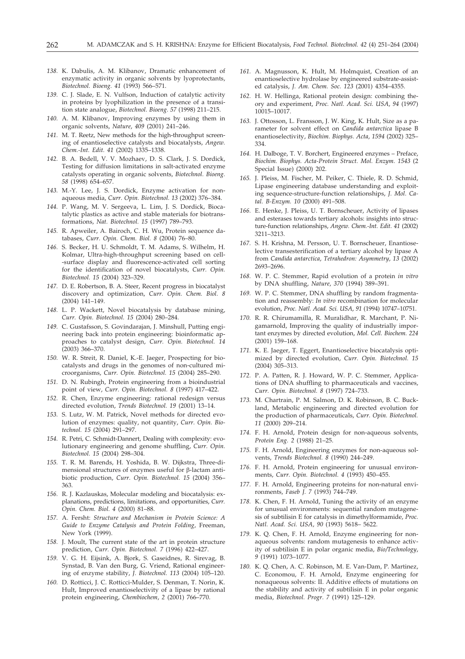- *138.* K. Dabulis, A. M. Klibanov, Dramatic enhancement of enzymatic activity in organic solvents by lyoprotectants, *Biotechnol. Bioeng. 41* (1993) 566–571.
- *139.* C. J. Slade, E. N. Vulfson, Induction of catalytic activity in proteins by lyophilization in the presence of a transition state analogue, *Biotechnol. Bioeng. 57* (1998) 211–215.
- *140.* A. M. Klibanov, Improving enzymes by using them in organic solvents, *Nature*, *409* (2001) 241–246.
- *141.* M. T. Reetz, New methods for the high-throughput screening of enantioselective catalysts and biocatalysts, *Angew. Chem.-Int. Edit. 41* (2002) 1335–1338.
- *142.* B. A. Bedell, V. V. Mozhaev, D. S. Clark, J. S. Dordick, Testing for diffusion limitations in salt-activated enzyme catalysts operating in organic solvents, *Biotechnol. Bioeng. 58* (1998) 654–657.
- *143.* M.-Y. Lee, J. S. Dordick, Enzyme activation for nonaqueous media, *Curr. Opin. Biotechnol. 13* (2002) 376–384.
- *144.* P. Wang, M. V. Sergeeva, L. Lim, J. S. Dordick, Biocatalytic plastics as active and stable materials for biotransformations, *Nat. Biotechnol. 15* (1997) 789–793.
- *145.* R. Apweiler, A. Bairoch, C. H. Wu, Protein sequence databases, *Curr. Opin. Chem. Biol. 8* (2004) 76–80.
- *146.* S. Becker, H. U. Schmoldt, T. M. Adams, S. Wilhelm, H. Kolmar, Ultra-high-throughput screening based on cell- -surface display and fluorescence-activated cell sorting for the identification of novel biocatalysts, *Curr. Opin. Biotechnol. 15* (2004) 323–329.
- *147.* D. E. Robertson, B. A. Steer, Recent progress in biocatalyst discovery and optimization, *Curr. Opin. Chem. Biol. 8* (2004) 141–149.
- *148.* L. P. Wackett, Novel biocatalysis by database mining, *Curr. Opin. Biotechnol. 15* (2004) 280–284.
- *149.* C. Gustafsson, S. Govindarajan, J. Minshull, Putting engineering back into protein engineering: bioinformatic approaches to catalyst design, *Curr. Opin. Biotechnol. 14* (2003) 366–370.
- *150.* W. R. Streit, R. Daniel, K.-E. Jaeger, Prospecting for biocatalysts and drugs in the genomes of non-cultured microorganisms, *Curr. Opin. Biotechnol. 15* (2004) 285–290.
- *151.* D. N. Rubingh, Protein engineering from a bioindustrial point of view, *Curr. Opin. Biotechnol. 8* (1997) 417–422.
- *152.* R. Chen, Enzyme engineering: rational redesign versus directed evolution, *Trends Biotechnol. 19* (2001) 13–14.
- *153.* S. Lutz, W. M. Patrick, Novel methods for directed evolution of enzymes: quality, not quantity, *Curr. Opin. Biotechnol. 15* (2004) 291–297.
- *154.* R. Petri, C. Schmidt-Dannert, Dealing with complexity: evolutionary engineering and genome shuffling, *Curr. Opin. Biotechnol. 15* (2004) 298–304.
- *155.* T. R. M. Barends, H. Yoshida, B. W. Dijkstra, Three-dimensional structures of enzymes useful for  $\beta$ -lactam antibiotic production, *Curr. Opin. Biotechnol. 15* (2004) 356– 363.
- *156.* R. J. Kazlauskas, Molecular modeling and biocatalysis: explanations, predictions, limitations, and opportunities, *Curr. Opin. Chem. Biol. 4* (2000) 81–88.
- *157.* A. Fersht: *Structure and Mechanism in Protein Science: A Guide to Enzyme Catalysis and Protein Folding*, Freeman, New York (1999).
- *158.* J. Moult, The current state of the art in protein structure prediction, *Curr. Opin. Biotechnol. 7* (1996) 422–427.
- *159.* V. G. H. Eijsink, A. Bjork, S. Gaseidnes, R. Sirevag, B. Synstad, B. Van den Burg, G. Vriend, Rational engineering of enzyme stability, *J. Biotechnol. 113* (2004) 105–120.
- *160.* D. Rotticci, J. C. Rotticci-Mulder, S. Denman, T. Norin, K. Hult, Improved enantioselectivity of a lipase by rational protein engineering, *Chembiochem*, *2* (2001) 766–770.
- *161.* A. Magnusson, K. Hult, M. Holmquist, Creation of an enantioselective hydrolase by engineered substrate-assisted catalysis, *J. Am. Chem. Soc. 123* (2001) 4354–4355.
- *162.* H. W. Hellinga, Rational protein design: combining theory and experiment, *Proc. Natl. Acad. Sci. USA*, *94* (1997) 10015–10017.
- *163.* J. Ottosson, L. Fransson, J. W. King, K. Hult, Size as a parameter for solvent effect on *Candida antarctica* lipase B enantioselectivity, *Biochim. Biophys. Acta*, *1594* (2002) 325– 334.
- *164.* H. Dalboge, T. V. Borchert, Engineered enzymes Preface, *Biochim. Biophys. Acta-Protein Struct. Mol. Enzym. 1543* (2 Special Issue) (2000) 202.
- *165.* J. Pleiss, M. Fischer, M. Peiker, C. Thiele, R. D. Schmid, Lipase engineering database understanding and exploiting sequence-structure-function relationships, *J. Mol. Catal. B-Enzym. 10* (2000) 491–508.
- *166.* E. Henke, J. Pleiss, U. T. Bornscheuer, Activity of lipases and esterases towards tertiary alcohols: insights into structure-function relationships, *Angew. Chem.-Int. Edit. 41* (2002) 3211–3213.
- *167.* S. H. Krishna, M. Persson, U. T. Bornscheuer, Enantioselective transesterification of a tertiary alcohol by lipase A from *Candida antarctica*, *Tetrahedron: Asymmetry*, *13* (2002) 2693–2696.
- *168.* W. P. C. Stemmer, Rapid evolution of a protein *in vitro* by DNA shuffling, *Nature*, *370* (1994) 389–391.
- *169.* W. P. C. Stemmer, DNA shuffling by random fragmentation and reassembly: *In vitro* recombination for molecular evolution, *Proc. Natl. Acad. Sci. USA*, *91* (1994) 10747–10751.
- *170.* R. R. Chirumamilla, R. Muralidhar, R. Marchant, P. Nigamarnold, Improving the quality of industrially important enzymes by directed evolution, *Mol. Cell. Biochem. 224* (2001) 159–168.
- *171.* K. E. Jaeger, T. Eggert, Enantioselective biocatalysis optimized by directed evolution, *Curr. Opin. Biotechnol. 15* (2004) 305–313.
- *172.* P. A. Patten, R. J. Howard, W. P. C. Stemmer, Applications of DNA shuffling to pharmaceuticals and vaccines, *Curr. Opin. Biotechnol. 8* (1997) 724–733.
- *173.* M. Chartrain, P. M. Salmon, D. K. Robinson, B. C. Buckland, Metabolic engineering and directed evolution for the production of pharmaceuticals, *Curr. Opin. Biotechnol. 11* (2000) 209–214.
- *174.* F. H. Arnold, Protein design for non-aqueous solvents, *Protein Eng. 2* (1988) 21–25.
- *175.* F. H. Arnold, Engineering enzymes for non-aqueous solvents, *Trends Biotechnol. 8* (1990) 244–249.
- *176.* F. H. Arnold, Protein engineering for unusual environments, *Curr. Opin. Biotechnol. 4* (1993) 450–455.
- *177.* F. H. Arnold, Engineering proteins for non-natural environments, *Faseb J. 7* (1993) 744–749.
- *178.* K. Chen, F. H. Arnold, Tuning the activity of an enzyme for unusual environments: sequential random mutagenesis of subtilisin E for catalysis in dimethylformamide, *Proc. Natl. Acad. Sci. USA*, *90* (1993) 5618– 5622.
- *179.* K. Q. Chen, F. H. Arnold, Enzyme engineering for nonaqueous solvents: random mutagenesis to enhance activity of subtilisin E in polar organic media, *Bio/Technology*, *9* (1991) 1073–1077.
- *180.* K. Q. Chen, A. C. Robinson, M. E. Van-Dam, P. Martinez, C. Economou, F. H. Arnold, Enzyme engineering for nonaqueous solvents: II. Additive effects of mutations on the stability and activity of subtilisin E in polar organic media, *Biotechnol. Progr. 7* (1991) 125–129.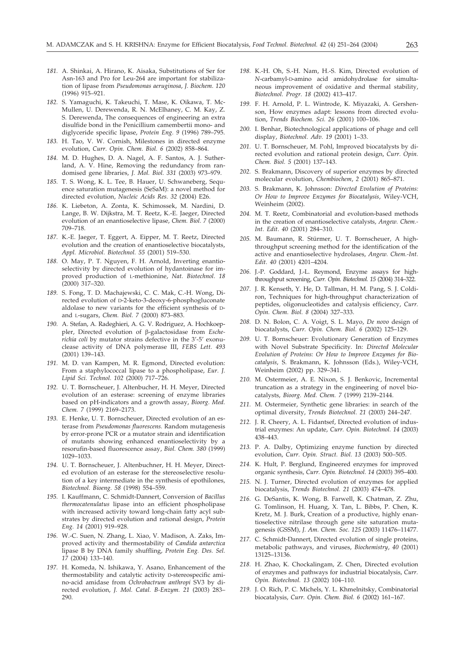- *181.* A. Shinkai, A. Hirano, K. Aisaka, Substitutions of Ser for Asn-163 and Pro for Leu-264 are important for stabilization of lipase from *Pseudomonas aeruginosa*, *J. Biochem. 120* (1996) 915–921.
- *182.* S. Yamaguchi, K. Takeuchi, T. Mase, K. Oikawa, T. Mc-Mullen, U. Derewenda, R. N. McElhaney, C. M. Kay, Z. S. Derewenda, The consequences of engineering an extra disulfide bond in the Penicillium camembertii mono- and diglyceride specific lipase, *Protein Eng. 9* (1996) 789–795.
- *183.* H. Tao, V. W. Cornish, Milestones in directed enzyme evolution, *Curr. Opin. Chem. Biol. 6* (2002) 858–864.
- *184.* M. D. Hughes, D. A. Nagel, A. F. Santos, A. J. Sutherland, A. V. Hine, Removing the redundancy from randomised gene libraries, *J. Mol. Biol. 331* (2003) 973–979.
- *185.* T. S. Wong, K. L. Tee, B. Hauer, U. Schwaneberg, Sequence saturation mutagenesis (SeSaM): a novel method for directed evolution, *Nucleic Acids Res. 32* (2004) E26.
- *186.* K. Liebeton, A. Zonta, K. Schimossek, M. Nardini, D. Lange, B. W. Dijkstra, M. T. Reetz, K.-E. Jaeger, Directed evolution of an enantioselective lipase, *Chem. Biol. 7* (2000) 709–718.
- *187.* K.-E. Jaeger, T. Eggert, A. Eipper, M. T. Reetz, Directed evolution and the creation of enantioselective biocatalysts, *Appl. Microbiol. Biotechnol. 55* (2001) 519–530.
- *188.* O. May, P. T. Nguyen, F. H. Arnold, Inverting enantioselectivity by directed evolution of hydantoinase for improved production of L-methionine, *Nat. Biotechnol. 18*  $(2000)$  317–320.
- *189.* S. Fong, T. D. Machajewski, C. C. Mak, C.-H. Wong, Directed evolution of D-2-keto-3-deoxy-6-phosphogluconate aldolase to new variants for the efficient synthesis of Dand L-sugars, *Chem. Biol. 7* (2000) 873–883.
- *190.* A. Stefan, A. Radeghieri, A. G. V. Rodriguez, A. Hochkoeppler, Directed evolution of  $\beta$ -galactosidase from *Escherichia coli* by mutator strains defective in the 3'-5' exonuclease activity of DNA polymerase III, *FEBS Lett. 493* (2001) 139–143.
- *191.* M. D. van Kampen, M. R. Egmond, Directed evolution: From a staphylococcal lipase to a phospholipase, *Eur. J. Lipid Sci. Technol. 102* (2000) 717–726.
- *192.* U. T. Bornscheuer, J. Altenbucher, H. H. Meyer, Directed evolution of an esterase: screening of enzyme libraries based on pH-indicators and a growth assay, *Bioorg. Med. Chem. 7* (1999) 2169–2173.
- *193.* E. Henke, U. T. Bornscheuer, Directed evolution of an esterase from *Pseudomonas fluorescens.* Random mutagenesis by error-prone PCR or a mutator strain and identification of mutants showing enhanced enantioselectivity by a resorufin-based fluorescence assay, *Biol. Chem. 380* (1999) 1029–1033.
- *194.* U. T. Bornscheuer, J. Altenbuchner, H. H. Meyer, Directed evolution of an esterase for the stereoselective resolution of a key intermediate in the synthesis of epothilones, *Biotechnol. Bioeng. 58* (1998) 554–559.
- *195.* I. Kauffmann, C. Schmidt-Dannert, Conversion of *Bacillus thermocatenulatus* lipase into an efficient phospholipase with increased activity toward long-chain fatty acyl substrates by directed evolution and rational design, *Protein Eng. 14* (2001) 919–928.
- *196.* W.-C. Suen, N. Zhang, L. Xiao, V. Madison, A. Zaks, Improved activity and thermostability of *Candida antarctica* lipase B by DNA family shuffling, *Protein Eng. Des. Sel. 17* (2004) 133–140.
- *197.* H. Komeda, N. Ishikawa, Y. Asano, Enhancement of the thermostability and catalytic activity D-stereospecific amino-acid amidase from *Ochrobactrum anthropi* SV3 by directed evolution, *J. Mol. Catal. B-Enzym. 21* (2003) 283– 290.
- *198.* K.-H. Oh, S.-H. Nam, H.-S. Kim, Directed evolution of *N*-carbamyl-D-amino acid amidohydrolase for simultaneous improvement of oxidative and thermal stability, *Biotechnol. Progr. 18* (2002) 413–417.
- *199.* F. H. Arnold, P. L. Wintrode, K. Miyazaki, A. Gershenson, How enzymes adapt: lessons from directed evolution, *Trends Biochem. Sci. 26* (2001) 100–106.
- *200.* I. Benhar, Biotechnological applications of phage and cell display, *Biotechnol. Adv. 19* (2001) 1–33.
- *201.* U. T. Bornscheuer, M. Pohl, Improved biocatalysts by directed evolution and rational protein design, *Curr. Opin. Chem. Biol. 5* (2001) 137–143.
- *202.* S. Brakmann, Discovery of superior enzymes by directed molecular evolution, *Chembiochem*, *2* (2001) 865–871.
- *203.* S. Brakmann, K. Johnsson: *Directed Evolution of Proteins: Or How to Improve Enzymes for Biocatalysis*, Wiley-VCH, Weinheim (2002).
- *204.* M. T. Reetz, Combinatorial and evolution-based methods in the creation of enantioselective catalysts, *Angew. Chem.- Int. Edit. 40* (2001) 284–310.
- *205.* M. Baumann, R. Stürmer, U. T. Bornscheuer, A highthroughput screening method for the identification of the active and enantioselective hydrolases, *Angew. Chem.-Int. Edit. 40* (2001) 4201–4204.
- *206.* J.-P. Goddard, J.-L. Reymond, Enzyme assays for highthroughput screening, *Curr. Opin. Biotechnol. 15* (2004) 314–322.
- *207.* J. R. Kenseth, Y. He, D. Tallman, H. M. Pang, S. J. Coldiron, Techniques for high-throughput characterization of peptides, oligonucleotides and catalysis efficiency, *Curr. Opin. Chem. Biol. 8* (2004) 327–333.
- *208.* D. N. Bolon, C. A. Voigt, S. L. Mayo, *De novo* design of biocatalysts, *Curr. Opin. Chem. Biol. 6* (2002) 125–129.
- *209.* U. T. Bornscheuer: Evolutionary Generation of Enzymes with Novel Substrate Specificity. In: *Directed Molecular Evolution of Proteins: Or How to Improve Enzymes for Biocatalysis*, S. Brakmann, K. Johnsson (Eds.), Wiley-VCH, Weinheim (2002) pp. 329–341.
- *210.* M. Ostermeier, A. E. Nixon, S. J. Benkovic, Incremental truncation as a strategy in the engineering of novel biocatalysts, *Bioorg. Med. Chem. 7* (1999) 2139–2144.
- *211.* M. Ostermeier, Synthetic gene libraries: in search of the optimal diversity, *Trends Biotechnol. 21* (2003) 244–247.
- *212.* J. R. Cheery, A. L. Fidantsef, Directed evolution of industrial enzymes: An update, *Curr. Opin. Biotechnol. 14* (2003) 438–443.
- *213.* P. A. Dalby, Optimizing enzyme function by directed evolution, *Curr. Opin. Struct. Biol. 13* (2003) 500–505.
- *214.* K. Hult, P. Berglund, Engineered enzymes for improved organic synthesis, *Curr. Opin. Biotechnol. 14* (2003) 395–400.
- *215.* N. J. Turner, Directed evolution of enzymes for applied biocatalysis, *Trends Biotechnol. 21* (2003) 474–478.
- *216.* G. DeSantis, K. Wong, B. Farwell, K. Chatman, Z. Zhu, G. Tomlinson, H. Huang, X. Tan, L. Bibbs, P. Chen, K. Kretz, M. J. Burk, Creation of a productive, highly enantioselective nitrilase through gene site saturation mutagenesis (GSSM), *J. Am. Chem. Soc. 125* (2003) 11476–11477.
- *217.* C. Schmidt-Dannert, Directed evolution of single proteins, metabolic pathways, and viruses, *Biochemistry*, *40* (2001) 13125–13136.
- *218.* H. Zhao, K. Chockalingam, Z. Chen, Directed evolution of enzymes and pathways for industrial biocatalysis, *Curr. Opin. Biotechnol. 13* (2002) 104–110.
- *219.* J. O. Rich, P. C. Michels, Y. L. Khmelnitsky, Combinatorial biocatalysis, *Curr. Opin. Chem. Biol. 6* (2002) 161–167.